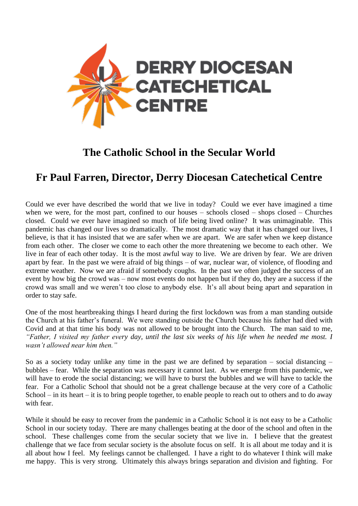

## **The Catholic School in the Secular World**

## **Fr Paul Farren, Director, Derry Diocesan Catechetical Centre**

Could we ever have described the world that we live in today? Could we ever have imagined a time when we were, for the most part, confined to our houses – schools closed – shops closed – Churches closed. Could we ever have imagined so much of life being lived online? It was unimaginable. This pandemic has changed our lives so dramatically. The most dramatic way that it has changed our lives, I believe, is that it has insisted that we are safer when we are apart. We are safer when we keep distance from each other. The closer we come to each other the more threatening we become to each other. We live in fear of each other today. It is the most awful way to live. We are driven by fear. We are driven apart by fear. In the past we were afraid of big things – of war, nuclear war, of violence, of flooding and extreme weather. Now we are afraid if somebody coughs. In the past we often judged the success of an event by how big the crowd was – now most events do not happen but if they do, they are a success if the crowd was small and we weren't too close to anybody else. It's all about being apart and separation in order to stay safe.

One of the most heartbreaking things I heard during the first lockdown was from a man standing outside the Church at his father's funeral. We were standing outside the Church because his father had died with Covid and at that time his body was not allowed to be brought into the Church. The man said to me, *"Father, I visited my father every day, until the last six weeks of his life when he needed me most. I wasn't allowed near him then."* 

So as a society today unlike any time in the past we are defined by separation – social distancing – bubbles – fear. While the separation was necessary it cannot last. As we emerge from this pandemic, we will have to erode the social distancing; we will have to burst the bubbles and we will have to tackle the fear. For a Catholic School that should not be a great challenge because at the very core of a Catholic School – in its heart – it is to bring people together, to enable people to reach out to others and to do away with fear.

While it should be easy to recover from the pandemic in a Catholic School it is not easy to be a Catholic School in our society today. There are many challenges beating at the door of the school and often in the school. These challenges come from the secular society that we live in. I believe that the greatest challenge that we face from secular society is the absolute focus on self. It is all about me today and it is all about how I feel. My feelings cannot be challenged. I have a right to do whatever I think will make me happy. This is very strong. Ultimately this always brings separation and division and fighting. For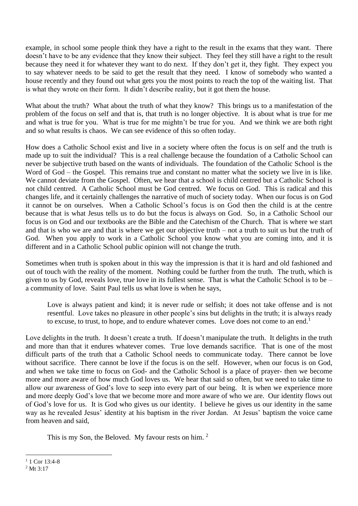example, in school some people think they have a right to the result in the exams that they want. There doesn't have to be any evidence that they know their subject. They feel they still have a right to the result because they need it for whatever they want to do next. If they don't get it, they fight. They expect you to say whatever needs to be said to get the result that they need. I know of somebody who wanted a house recently and they found out what gets you the most points to reach the top of the waiting list. That is what they wrote on their form. It didn't describe reality, but it got them the house.

What about the truth? What about the truth of what they know? This brings us to a manifestation of the problem of the focus on self and that is, that truth is no longer objective. It is about what is true for me and what is true for you. What is true for me mightn't be true for you. And we think we are both right and so what results is chaos. We can see evidence of this so often today.

How does a Catholic School exist and live in a society where often the focus is on self and the truth is made up to suit the individual? This is a real challenge because the foundation of a Catholic School can never be subjective truth based on the wants of individuals. The foundation of the Catholic School is the Word of God – the Gospel. This remains true and constant no matter what the society we live in is like. We cannot deviate from the Gospel. Often, we hear that a school is child centred but a Catholic School is not child centred. A Catholic School must be God centred. We focus on God. This is radical and this changes life, and it certainly challenges the narrative of much of society today. When our focus is on God it cannot be on ourselves. When a Catholic School's focus is on God then the child is at the centre because that is what Jesus tells us to do but the focus is always on God. So, in a Catholic School our focus is on God and our textbooks are the Bible and the Catechism of the Church. That is where we start and that is who we are and that is where we get our objective truth – not a truth to suit us but the truth of God. When you apply to work in a Catholic School you know what you are coming into, and it is different and in a Catholic School public opinion will not change the truth.

Sometimes when truth is spoken about in this way the impression is that it is hard and old fashioned and out of touch with the reality of the moment. Nothing could be further from the truth. The truth, which is given to us by God, reveals love, true love in its fullest sense. That is what the Catholic School is to be – a community of love. Saint Paul tells us what love is when he says,

Love is always patient and kind; it is never rude or selfish; it does not take offense and is not resentful. Love takes no pleasure in other people's sins but delights in the truth; it is always ready to excuse, to trust, to hope, and to endure whatever comes. Love does not come to an end.<sup>1</sup>

Love delights in the truth. It doesn't create a truth. If doesn't manipulate the truth. It delights in the truth and more than that it endures whatever comes. True love demands sacrifice. That is one of the most difficult parts of the truth that a Catholic School needs to communicate today. There cannot be love without sacrifice. There cannot be love if the focus is on the self. However, when our focus is on God, and when we take time to focus on God- and the Catholic School is a place of prayer- then we become more and more aware of how much God loves us. We hear that said so often, but we need to take time to allow our awareness of God's love to seep into every part of our being. It is when we experience more and more deeply God's love that we become more and more aware of who we are. Our identity flows out of God's love for us. It is God who gives us our identity. I believe he gives us our identity in the same way as he revealed Jesus' identity at his baptism in the river Jordan. At Jesus' baptism the voice came from heaven and said,

This is my Son, the Beloved. My favour rests on him.<sup>2</sup>

 $1$  1 Cor 13:4-8

 $2$  Mt 3:17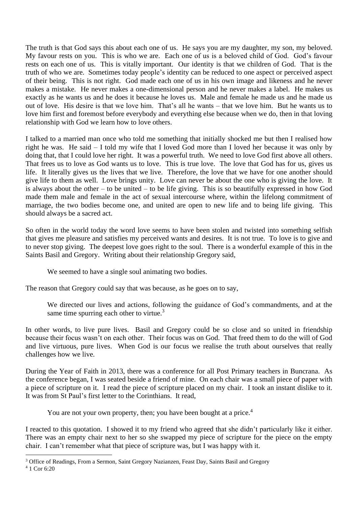The truth is that God says this about each one of us. He says you are my daughter, my son, my beloved. My favour rests on you. This is who we are. Each one of us is a beloved child of God. God's favour rests on each one of us. This is vitally important. Our identity is that we children of God. That is the truth of who we are. Sometimes today people's identity can be reduced to one aspect or perceived aspect of their being. This is not right. God made each one of us in his own image and likeness and he never makes a mistake. He never makes a one-dimensional person and he never makes a label. He makes us exactly as he wants us and he does it because he loves us. Male and female he made us and he made us out of love. His desire is that we love him. That's all he wants – that we love him. But he wants us to love him first and foremost before everybody and everything else because when we do, then in that loving relationship with God we learn how to love others.

I talked to a married man once who told me something that initially shocked me but then I realised how right he was. He said – I told my wife that I loved God more than I loved her because it was only by doing that, that I could love her right. It was a powerful truth. We need to love God first above all others. That frees us to love as God wants us to love. This is true love. The love that God has for us, gives us life. It literally gives us the lives that we live. Therefore, the love that we have for one another should give life to them as well. Love brings unity. Love can never be about the one who is giving the love. It is always about the other – to be united – to be life giving. This is so beautifully expressed in how God made them male and female in the act of sexual intercourse where, within the lifelong commitment of marriage, the two bodies become one, and united are open to new life and to being life giving. This should always be a sacred act.

So often in the world today the word love seems to have been stolen and twisted into something selfish that gives me pleasure and satisfies my perceived wants and desires. It is not true. To love is to give and to never stop giving. The deepest love goes right to the soul. There is a wonderful example of this in the Saints Basil and Gregory. Writing about their relationship Gregory said,

We seemed to have a single soul animating two bodies.

The reason that Gregory could say that was because, as he goes on to say,

We directed our lives and actions, following the guidance of God's commandments, and at the same time spurring each other to virtue.<sup>3</sup>

In other words, to live pure lives. Basil and Gregory could be so close and so united in friendship because their focus wasn't on each other. Their focus was on God. That freed them to do the will of God and live virtuous, pure lives. When God is our focus we realise the truth about ourselves that really challenges how we live.

During the Year of Faith in 2013, there was a conference for all Post Primary teachers in Buncrana. As the conference began, I was seated beside a friend of mine. On each chair was a small piece of paper with a piece of scripture on it. I read the piece of scripture placed on my chair. I took an instant dislike to it. It was from St Paul's first letter to the Corinthians. It read,

You are not your own property, then; you have been bought at a price.<sup>4</sup>

I reacted to this quotation. I showed it to my friend who agreed that she didn't particularly like it either. There was an empty chair next to her so she swapped my piece of scripture for the piece on the empty chair. I can't remember what that piece of scripture was, but I was happy with it.

<sup>&</sup>lt;sup>3</sup> Office of Readings, From a Sermon, Saint Gregory Nazianzen, Feast Day, Saints Basil and Gregory

<sup>4</sup> 1 Cor 6:20